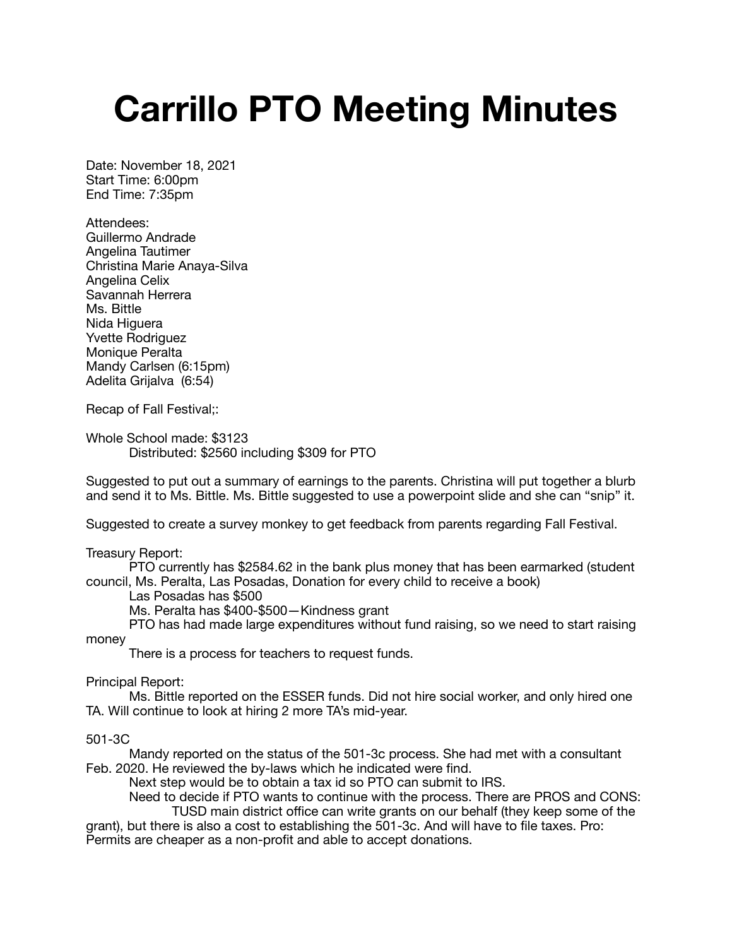## **Carrillo PTO Meeting Minutes**

Date: November 18, 2021 Start Time: 6:00pm End Time: 7:35pm

Attendees: Guillermo Andrade Angelina Tautimer Christina Marie Anaya-Silva Angelina Celix Savannah Herrera Ms. Bittle Nida Higuera Yvette Rodriguez Monique Peralta Mandy Carlsen (6:15pm) Adelita Grijalva (6:54)

Recap of Fall Festival;:

Whole School made: \$3123 Distributed: \$2560 including \$309 for PTO

Suggested to put out a summary of earnings to the parents. Christina will put together a blurb and send it to Ms. Bittle. Ms. Bittle suggested to use a powerpoint slide and she can "snip" it.

Suggested to create a survey monkey to get feedback from parents regarding Fall Festival.

Treasury Report:

PTO currently has \$2584.62 in the bank plus money that has been earmarked (student council, Ms. Peralta, Las Posadas, Donation for every child to receive a book)

Las Posadas has \$500

Ms. Peralta has \$400-\$500—Kindness grant

PTO has had made large expenditures without fund raising, so we need to start raising money

There is a process for teachers to request funds.

Principal Report:

Ms. Bittle reported on the ESSER funds. Did not hire social worker, and only hired one TA. Will continue to look at hiring 2 more TA's mid-year.

501-3C

Mandy reported on the status of the 501-3c process. She had met with a consultant Feb. 2020. He reviewed the by-laws which he indicated were find.

Next step would be to obtain a tax id so PTO can submit to IRS.

Need to decide if PTO wants to continue with the process. There are PROS and CONS:

 TUSD main district office can write grants on our behalf (they keep some of the grant), but there is also a cost to establishing the 501-3c. And will have to file taxes. Pro: Permits are cheaper as a non-profit and able to accept donations.